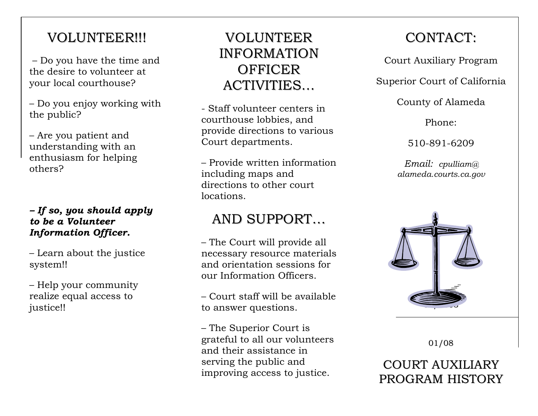#### VOLUNTEER!!!

 – Do you have the time and the desire to volunteer at your local courthouse?

– Do you enjoy working with the public?

– Are you patient and understanding with an enthusiasm for helping others?

#### *– If so, you should apply to be a Volunteer Information Officer.*

– Learn about the justice system!!

– Help your community realize equal access to justice!!

#### VOLUNTEERINFORMATION**OFFICER** ACTIVITIES…

- Staff volunteer centers in courthouse lobbies, and provide directions to various Court departments.

– Provide written information including maps and directions to other court locations.

### AND SUPPORT…

– The Court will provide all necessary resource materials and orientation sessions for our Information Officers.

– Court staff will be available to answer questions.

– The Superior Court is grateful to all our volunteers and their assistance in serving the public and improving access to justice.

## CONTACT:

Court Auxiliary Program

Superior Court of California

County of Alameda

Phone:

510-891-6209

*Email: cpulliam@ alameda.courts.ca.gov*



01/08

COURT AUXILIARYPROGRAM HISTORY